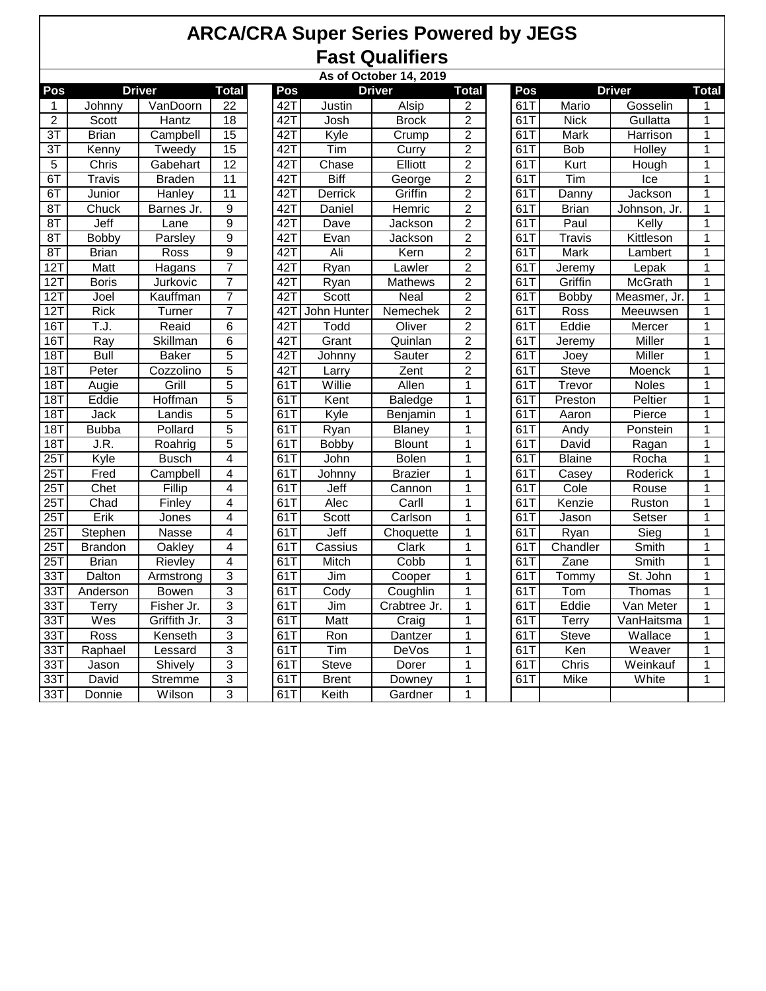## **ARCA/CRA Super Series Powered by JEGS Fast Qualifiers**

|                   | As of October 14, 2019 |               |                 |  |     |              |                |                         |  |     |               |               |                |
|-------------------|------------------------|---------------|-----------------|--|-----|--------------|----------------|-------------------------|--|-----|---------------|---------------|----------------|
| Pos               |                        | <b>Driver</b> | <b>Total</b>    |  | Pos |              | <b>Driver</b>  | <b>Total</b>            |  | Pos |               | <b>Driver</b> | <b>Total</b>   |
| $\mathbf{1}$      | Johnny                 | VanDoorn      | $\overline{22}$ |  | 42T | Justin       | Alsip          | 2                       |  | 61T | Mario         | Gosselin      | 1              |
| $\overline{2}$    | Scott                  | Hantz         | 18              |  | 42T | Josh         | <b>Brock</b>   | $\overline{2}$          |  | 61T | <b>Nick</b>   | Gullatta      | 1              |
| $\overline{3T}$   | <b>Brian</b>           | Campbell      | $\overline{15}$ |  | 42T | Kyle         | Crump          | $\overline{2}$          |  | 61T | Mark          | Harrison      | 1              |
| 3T                | Kenny                  | Tweedy        | 15              |  | 42T | Tim          | Curry          | $\overline{c}$          |  | 61T | <b>Bob</b>    | Holley        | $\mathbf 1$    |
| $\overline{5}$    | Chris                  | Gabehart      | 12              |  | 42T | Chase        | Elliott        | $\overline{2}$          |  | 61T | Kurt          | Hough         | $\overline{1}$ |
| 6T                | <b>Travis</b>          | <b>Braden</b> | 11              |  | 42T | <b>Biff</b>  | George         | $\overline{2}$          |  | 61T | Tim           | Ice           | 1              |
| 6T                | Junior                 | Hanley        | 11              |  | 42T | Derrick      | Griffin        | $\overline{2}$          |  | 61T | Danny         | Jackson       | $\overline{1}$ |
| 8T                | Chuck                  | Barnes Jr.    | $\overline{9}$  |  | 42T | Daniel       | Hemric         | $\overline{2}$          |  | 61T | <b>Brian</b>  | Johnson, Jr.  | $\overline{1}$ |
| 8T                | Jeff                   | Lane          | $\overline{9}$  |  | 42T | Dave         | Jackson        | $\overline{\mathbf{c}}$ |  | 61T | Paul          | Kelly         | $\mathbf 1$    |
| 8T                | <b>Bobby</b>           | Parsley       | $\overline{9}$  |  | 42T | Evan         | <b>Jackson</b> | $\overline{2}$          |  | 61T | <b>Travis</b> | Kittleson     | $\overline{1}$ |
| 8T                | <b>Brian</b>           | Ross          | $\overline{9}$  |  | 42T | Ali          | Kern           | $\overline{2}$          |  | 61T | Mark          | Lambert       | 1              |
| 12T               | Matt                   | Hagans        | $\overline{7}$  |  | 42T | Ryan         | Lawler         | $\overline{2}$          |  | 61T | Jeremy        | Lepak         | $\mathbf 1$    |
| 12T               | <b>Boris</b>           | Jurkovic      | $\overline{7}$  |  | 42T | Ryan         | Mathews        | $\overline{2}$          |  | 61T | Griffin       | McGrath       | 1              |
| 12T               | Joel                   | Kauffman      | $\overline{7}$  |  | 42T | Scott        | Neal           | $\overline{2}$          |  | 61T | Bobby         | Measmer, Jr.  | $\overline{1}$ |
| 12T               | <b>Rick</b>            | Turner        | 7               |  | 42T | John Hunter  | Nemechek       | $\overline{2}$          |  | 61  | Ross          | Meeuwsen      | $\overline{1}$ |
| 16T               | T.J.                   | Reaid         | 6               |  | 42T | Todd         | Oliver         | 2                       |  | 61T | Eddie         | Mercer        | 1              |
| 16T               | Ray                    | Skillman      | $\overline{6}$  |  | 42T | Grant        | Quinlan        | $\overline{2}$          |  | 61T | Jeremy        | Miller        | $\overline{1}$ |
| 18T               | <b>Bull</b>            | <b>Baker</b>  | $\overline{5}$  |  | 42T | Johnny       | Sauter         | $\overline{2}$          |  | 61  | Joey          | Miller        | $\overline{1}$ |
| 18T               | Peter                  | Cozzolino     | $\overline{5}$  |  | 42T | Larry        | Zent           | $\overline{2}$          |  | 61T | Steve         | Moenck        | 1              |
| 18T               | Augie                  | Grill         | $\overline{5}$  |  | 61T | Willie       | Allen          | 1                       |  | 61T | Trevor        | Noles         | 1              |
| 18T               | Eddie                  | Hoffman       | $\overline{5}$  |  | 61T | Kent         | <b>Baledge</b> | $\overline{1}$          |  | 61T | Preston       | Peltier       | $\overline{1}$ |
| 18T               | Jack                   | Landis        | $\overline{5}$  |  | 61T | Kyle         | Benjamin       | 1                       |  | 61T | Aaron         | Pierce        | $\mathbf 1$    |
| 18T               | <b>Bubba</b>           | Pollard       | $\overline{5}$  |  | 61T | Ryan         | <b>Blaney</b>  | 1                       |  | 61T | Andy          | Ponstein      | 1              |
| 18T               | J.R.                   | Roahrig       | 5               |  | 61T | <b>Bobby</b> | <b>Blount</b>  | 1                       |  | 61T | David         | Ragan         | $\overline{1}$ |
| $\overline{25T}$  | Kyle                   | <b>Busch</b>  | 4               |  | 61T | John         | <b>Bolen</b>   | $\mathbf 1$             |  | 61T | <b>Blaine</b> | Rocha         | $\mathbf 1$    |
| $\overline{25}$ T | Fred                   | Campbell      | $\overline{4}$  |  | 61T | Johnny       | <b>Brazier</b> | $\overline{1}$          |  | 61T | Casey         | Roderick      | $\overline{1}$ |
| $\overline{25}$ T | Chet                   | Fillip        | $\overline{4}$  |  | 61T | Jeff         | Cannon         | 1                       |  | 61T | Cole          | Rouse         | 1              |
| 25T               | Chad                   | Finley        | 4               |  | 61T | Alec         | Carll          | $\mathbf 1$             |  | 61T | Kenzie        | Ruston        | $\mathbf 1$    |
| $\overline{25}$ T | Erik                   | Jones         | 4               |  | 61T | Scott        | Carlson        | $\mathbf{1}$            |  | 61T | Jason         | Setser        | $\overline{1}$ |
| 25T               | Stephen                | Nasse         | 4               |  | 61T | Jeff         | Choquette      | 1                       |  | 61T | Ryan          | Sieg          | $\mathbf 1$    |
| 25T               | <b>Brandon</b>         | Oakley        | 4               |  | 61T | Cassius      | Clark          | 1                       |  | 61T | Chandler      | Smith         | $\mathbf 1$    |
| 25T               | <b>Brian</b>           | Rievley       | $\overline{4}$  |  | 61T | Mitch        | Cobb           | $\overline{1}$          |  | 61T | Zane          | Smith         | $\overline{1}$ |
| $\overline{33}$   | Dalton                 | Armstrong     | $\overline{3}$  |  | 61T | Jim          | Cooper         | $\mathbf 1$             |  | 61T | Tommy         | St. John      | $\overline{1}$ |
| $\overline{33}$   | Anderson               | <b>Bowen</b>  | 3               |  | 61T | Cody         | Coughlin       | 1                       |  | 61T | Tom           | Thomas        | 1              |
| $\overline{33}$   | <b>Terry</b>           | Fisher Jr.    | $\overline{3}$  |  | 61T | Jim          | Crabtree Jr.   | $\overline{1}$          |  | 61T | Eddie         | Van Meter     | $\overline{1}$ |
| 33T               | Wes                    | Griffith Jr.  | 3               |  | 61T | Matt         | Craig          | $\mathbf{1}$            |  | 61T | Terry         | VanHaitsma    | $\mathbf 1$    |
| 33T               | Ross                   | Kenseth       | $\overline{3}$  |  | 61T | Ron          | Dantzer        | 1                       |  | 61T | <b>Steve</b>  | Wallace       | $\overline{1}$ |
| $\overline{33}$   | Raphael                | Lessard       | $\overline{3}$  |  | 61T | Tim          | DeVos          | 1                       |  | 61T | Ken           | Weaver        | 1              |
| 33T               | Jason                  | Shively       | $\overline{3}$  |  | 61T | <b>Steve</b> | Dorer          | 1                       |  | 61T | Chris         | Weinkauf      | $\mathbf 1$    |
| $\overline{33}$ T | David                  | Stremme       | $\overline{3}$  |  | 61T | <b>Brent</b> | Downey         | $\overline{1}$          |  | 61T | <b>Mike</b>   | White         | $\overline{1}$ |
| 33T               | Donnie                 | Wilson        | 3               |  | 61T | Keith        | Gardner        | 1                       |  |     |               |               |                |